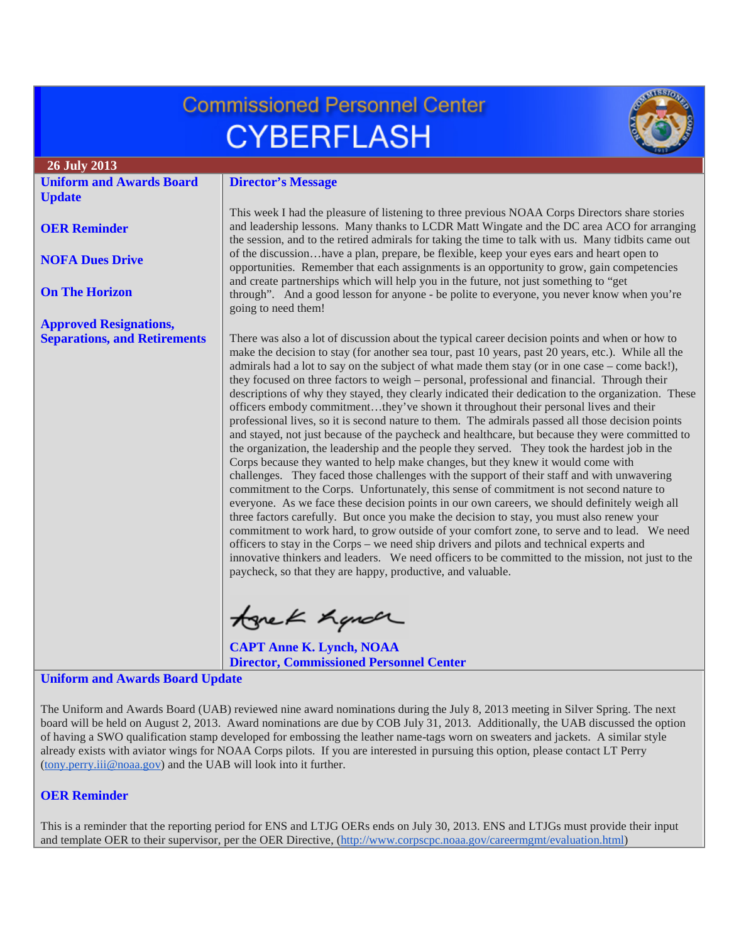# **Commissioned Personnel Center CYBERFLASH**



**26 July 2013**

**[OER Reminder](#page-0-1)**

**[NOFA Dues Drive](#page-1-0)**

**[On The Horizon](#page-1-1)**

**[Approved Resignations,](#page-1-2)  [Separations, and Retirements](#page-1-2)**

**[Update](#page-0-0)**

**[Uniform and Awards Board](#page-0-0)** 

# **Director's Message**

This week I had the pleasure of listening to three previous NOAA Corps Directors share stories and leadership lessons. Many thanks to LCDR Matt Wingate and the DC area ACO for arranging the session, and to the retired admirals for taking the time to talk with us. Many tidbits came out of the discussion…have a plan, prepare, be flexible, keep your eyes ears and heart open to opportunities. Remember that each assignments is an opportunity to grow, gain competencies and create partnerships which will help you in the future, not just something to "get through". And a good lesson for anyone - be polite to everyone, you never know when you're going to need them!

There was also a lot of discussion about the typical career decision points and when or how to make the decision to stay (for another sea tour, past 10 years, past 20 years, etc.). While all the admirals had a lot to say on the subject of what made them stay (or in one case – come back!), they focused on three factors to weigh – personal, professional and financial. Through their descriptions of why they stayed, they clearly indicated their dedication to the organization. These officers embody commitment…they've shown it throughout their personal lives and their professional lives, so it is second nature to them. The admirals passed all those decision points and stayed, not just because of the paycheck and healthcare, but because they were committed to the organization, the leadership and the people they served. They took the hardest job in the Corps because they wanted to help make changes, but they knew it would come with challenges. They faced those challenges with the support of their staff and with unwavering commitment to the Corps. Unfortunately, this sense of commitment is not second nature to everyone. As we face these decision points in our own careers, we should definitely weigh all three factors carefully. But once you make the decision to stay, you must also renew your commitment to work hard, to grow outside of your comfort zone, to serve and to lead. We need officers to stay in the Corps – we need ship drivers and pilots and technical experts and innovative thinkers and leaders. We need officers to be committed to the mission, not just to the paycheck, so that they are happy, productive, and valuable.

tonek handr

**CAPT Anne K. Lynch, NOAA Director, Commissioned Personnel Center**

#### <span id="page-0-0"></span>**Uniform and Awards Board Update**

The Uniform and Awards Board (UAB) reviewed nine award nominations during the July 8, 2013 meeting in Silver Spring. The next board will be held on August 2, 2013. Award nominations are due by COB July 31, 2013. Additionally, the UAB discussed the option of having a SWO qualification stamp developed for embossing the leather name-tags worn on sweaters and jackets. A similar style already exists with aviator wings for NOAA Corps pilots. If you are interested in pursuing this option, please contact LT Perry [\(tony.perry.iii@noaa.gov\)](mailto:tony.perry.iii@noaa.gov) and the UAB will look into it further.

## <span id="page-0-1"></span>**OER Reminder**

This is a reminder that the reporting period for ENS and LTJG OERs ends on July 30, 2013. ENS and LTJGs must provide their input and template OER to their supervisor, per the OER Directive, [\(http://www.corpscpc.noaa.gov/careermgmt/evaluation.html\)](http://www.corpscpc.noaa.gov/careermgmt/evaluation.html)